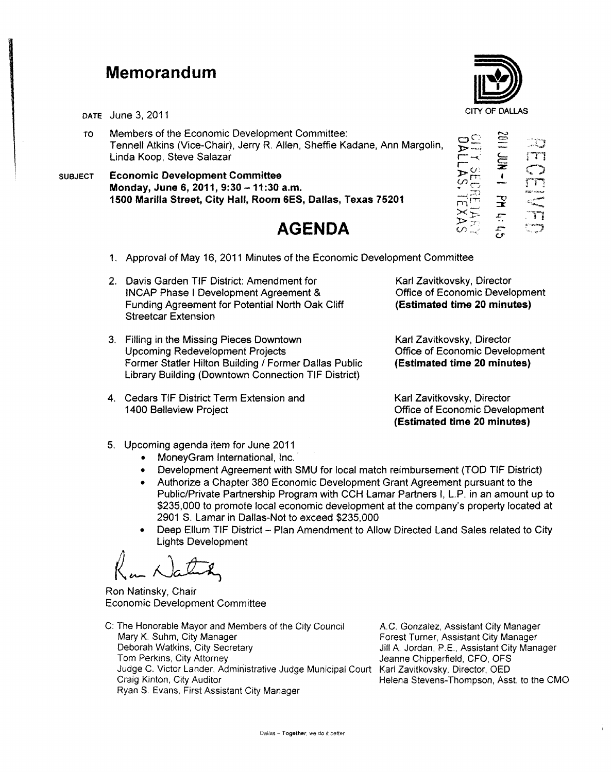## **Memorandum**

- TO Members of the Economic Development Committee: Tennell Atkins (Vice-Chair), Jerry R. Allen, Sheffie Kadane, Ann Margolin, Linda Koop, Steve Salazar
- SUBJECT Economic Development Committee Monday, June 6, 2011, 9:30 - 11:30 a.m. 1500 Marilla Street, City Hall, Room 6ES, Dallas, Texas 75201  $\overrightarrow{CD} = \overrightarrow{X}$

## **AGENDA**

DATE June 3, 2011 CITY OF DALLAS  $\overline{\mathsf{S}}\overline{\mathsf{S}}$ r<br>Fri T't  $\sim$   $^+$   $\sim$   $^+$  $\overline{\Xi}$   $\overline{\Xi}$  $\simeq$  $\omega$ • G  $\ddot{\phantom{1}}$  $\sim$ ~'ot& rT1  $\vec{F}$  =  $\vec{F}$ 

 $\varphi\in \mathbb{C}^{\infty}$  .

- 
- 1. Approval of May 16, 2011 Minutes of the Economic Development Committee
- 2. Davis Garden TIF District: Amendment for INCAP Phase I Development Agreement & Funding Agreement for Potential North Oak Cliff Streetcar Extension
- 3. Filling in the Missing Pieces Downtown Upcoming Redevelopment Projects Former Statler Hilton Building / Former Dallas Public Library Building (Downtown Connection TIF District)
- 4. Cedars TIF District Term Extension and 1400 Belleview Project

Karl Zavitkovsky, Director Office of Economic Development (Estimated time 20 minutes)

*>:::r:* "

Karl Zavitkovsky, Director Office of Economic Development (Estimated time 20 minutes)

Karl Zavitkovsky, Director Office of Economic Development (Estimated time 20 minutes)

- 5. Upcoming agenda item for June 2011
	- MoneyGram International, Inc.
	- Development Agreement with SMU for local match reimbursement (TOO TIF District)
	- Authorize a Chapter 380 Economic Development Grant Agreement pursuant to the Public/Private Partnership Program with CCH Lamar Partners I, L.P. in an amount up to \$235,000 to promote local economic development at the company's property located at 2901 S. Lamar in Dallas-Not to exceed \$235,000
	- Deep Ellum TIF District Plan Amendment to Allow Directed Land Sales related to City Lights Development

Kan Natura

Ron Natinsky, Chair Economic Development Committee

C: The Honorable Mayor and Members of the City Council Mary K. Suhm, City Manager Deborah Watkins, City Secretary Tom Perkins, City Attorney Judge C. Victor Lander, Administrative Judge Municipal Court Karl Zavitkovsky, Director, OED Craig Kinton, City Auditor Ryan S, Evans, First Assistant City Manager

AC. Gonzalez, Assistant City Manager Forest Turner, Assistant City Manager Jill A. Jordan, P.E., Assistant City Manager Jeanne Chipperfield, CFO, OFS Helena Stevens-Thompson, Asst. to the CMO